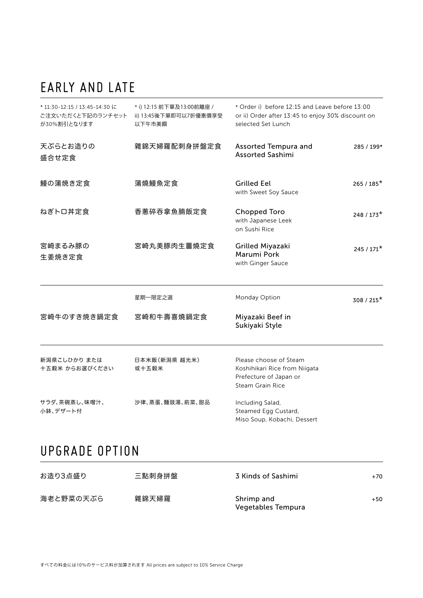# EARLY AND LATE

| * 11:30-12:15 / 13:45-14:30 に<br>ご注文いただくと下記のランチセット<br>が30%割引となります | * i) 12:15 前下單及13:00前離座 /<br>ii) 13:45後下單即可以7折優惠價享受<br>以下午市美饌 | * Order i) before 12:15 and Leave before 13:00<br>or ii) Order after 13:45 to enjoy 30% discount on<br>selected Set Lunch |              |
|-------------------------------------------------------------------|---------------------------------------------------------------|---------------------------------------------------------------------------------------------------------------------------|--------------|
| 天ぷらとお造りの<br>盛合せ定食                                                 | 雜錦天婦羅配刺身拼盤定食                                                  | <b>Assorted Tempura and</b><br><b>Assorted Sashimi</b>                                                                    | 285 / 199*   |
| 鰻の蒲焼き定食                                                           | 蒲燒鰻魚定食                                                        | <b>Grilled Eel</b><br>with Sweet Soy Sauce                                                                                | $265/185*$   |
| ねぎトロ丼定食                                                           | 香蔥碎吞拿魚腩飯定食                                                    | <b>Chopped Toro</b><br>with Japanese Leek<br>on Sushi Rice                                                                | $248/173*$   |
| 宮崎まるみ豚の<br>生姜焼き定食                                                 | 宮崎丸美豚肉生薑燒定食                                                   | Grilled Miyazaki<br>Marumi Pork<br>with Ginger Sauce                                                                      | $245/171*$   |
|                                                                   | 星期一限定之選                                                       | Monday Option                                                                                                             | $308 / 215*$ |
| 宮崎牛のすき焼き鍋定食                                                       | 宮崎和牛壽喜燒鍋定食                                                    | Miyazaki Beef in<br>Sukiyaki Style                                                                                        |              |
| 新潟県こしひかり または<br>十五穀米 からお選びください                                    | 日本米飯(新潟県 越光米)<br>或十五榖米                                        | Please choose of Steam<br>Koshihikari Rice from Niigata<br>Prefecture of Japan or<br>Steam Grain Rice                     |              |
| サラダ、茶碗蒸し、味噌汁、<br>小鉢、デザート付                                         | 沙律、蒸蛋、麵豉湯、前菜、甜品                                               | Including Salad,<br>Steamed Egg Custard,<br>Miso Soup, Kobachi, Dessert                                                   |              |

## UPGRADE OPTION

| お造り3点盛り   | 三點刺身拼盤 | 3 Kinds of Sashimi               | +70 |
|-----------|--------|----------------------------------|-----|
| 海老と野菜の天ぷら | 雜錦天婦羅  | Shrimp and<br>Vegetables Tempura | +50 |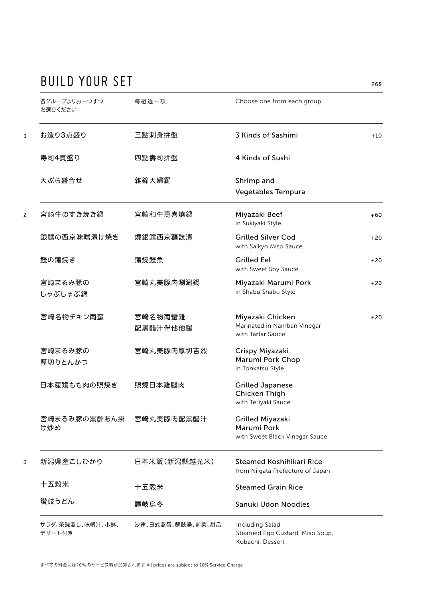## BUILD YOUR SET 268

| 各グループよりお一つずつ<br>お選びください    | 每組選一項               | Choose one from each group                                              |       |
|----------------------------|---------------------|-------------------------------------------------------------------------|-------|
| お造り3点盛り                    | 三點刺身拼盤              | 3 Kinds of Sashimi                                                      | $+10$ |
| 寿司4貫盛り                     | 四點壽司拼盤              | 4 Kinds of Sushi                                                        |       |
| 天ぷら盛合せ                     | 雜錦天婦羅               | Shrimp and<br>Vegetables Tempura                                        |       |
| 宮崎牛のすき焼き鍋                  | 宮崎和牛壽喜燒鍋            | Miyazaki Beef<br>in Sukiyaki Style                                      | $+60$ |
| 銀鱈の西京味噌漬け焼き                | 燒銀鱈西京麵豉漬            | <b>Grilled Silver Cod</b><br>with Saikyo Miso Sauce                     | $+20$ |
| 鰻の蒲焼き                      | 蒲燒鰻魚                | <b>Grilled Eel</b><br>with Sweet Soy Sauce                              | $+20$ |
| 宮崎まるみ豚の<br>しゃぶしゃぶ鍋         | 宮崎丸美豚肉涮涮鍋           | Miyazaki Marumi Pork<br>in Shabu Shabu Style                            | $+20$ |
| 宮崎名物チキン南蛮                  | 宮崎名物南蠻雞<br>配黑醋汁伴他他醬 | Miyazaki Chicken<br>Marinated in Namban Vinegar<br>with Tartar Sauce    | $+20$ |
| 宮崎まるみ豚の<br>厚切りとんかつ         | 宮崎丸美豚肉厚切吉烈          | Crispy Miyazaki<br>Marumi Pork Chop<br>in Tonkatsu Style                |       |
| 日本産鶏もも肉の照焼き                | 照燒日本雞腿肉             | <b>Grilled Japanese</b><br>Chicken Thigh<br>with Teriyaki Sauce         |       |
| 宮崎まるみ豚の黒酢あん掛<br>け炒め        | 宮崎丸美豚肉配黑醋汁          | Grilled Miyazaki<br>Marumi Pork<br>with Sweet Black Vinegar Sauce       |       |
| 新潟県産こしひかり                  | 日本米飯(新潟縣越光米)        | Steamed Koshihikari Rice<br>from Niigata Prefecture of Japan            |       |
| 十五穀米                       | 十五穀米                | <b>Steamed Grain Rice</b>                                               |       |
| 讃岐うどん                      | 讃岐烏冬                | Sanuki Udon Noodles                                                     |       |
| サラダ、茶碗蒸し、味噌汁、小鉢、<br>デザート付き | 沙律、日式蒸蛋、麵豉湯、前菜、甜品   | Including Salad,<br>Steamed Egg Custard, Miso Soup,<br>Kobachi, Dessert |       |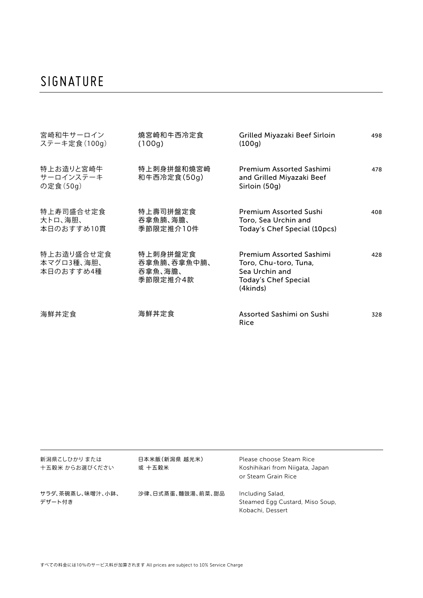### SIGNATURE

| 宮崎和牛サーロイン<br>ステーキ定食 (100g)            | 燒宮崎和牛西冷定食<br>(100g)                            | Grilled Miyazaki Beef Sirloin<br>(100q)                                                                               | 498 |
|---------------------------------------|------------------------------------------------|-----------------------------------------------------------------------------------------------------------------------|-----|
| 特上お造りと宮崎牛<br>サーロインステーキ<br>の定食 (50g)   | 特上刺身拼盤和燒宮崎<br>和牛西冷定食(50g)                      | <b>Premium Assorted Sashimi</b><br>and Grilled Miyazaki Beef<br>Sirloin (50g)                                         | 478 |
| 特上寿司盛合せ定食<br>大トロ、海胆、<br>本日のおすすめ10貫    | 特上壽司拼盤定食<br>吞拿魚腩、海膽、<br>季節限定推介10件              | <b>Premium Assorted Sushi</b><br>Toro, Sea Urchin and<br>Today's Chef Special (10pcs)                                 | 408 |
| 特上お造り盛合せ定食<br>本マグロ3種、海胆、<br>本日のおすすめ4種 | 特上刺身拼盤定食<br>吞拿魚腩、吞拿魚中腩、<br>吞拿魚、海膽、<br>季節限定推介4款 | <b>Premium Assorted Sashimi</b><br>Toro, Chu-toro, Tuna,<br>Sea Urchin and<br><b>Today's Chef Special</b><br>(4kinds) | 428 |
| 海鮮丼定食                                 | 海鮮丼定食                                          | Assorted Sashimi on Sushi<br>Rice                                                                                     | 328 |

| 新潟県こしひかり または<br>十五穀米 からお選びください | 日本米飯(新潟県 越光米)<br>或 十五穀米 | Please choose Steam Rice<br>Koshihikari from Niigata, Japan<br>or Steam Grain Rice |
|--------------------------------|-------------------------|------------------------------------------------------------------------------------|
| サラダ、茶碗蒸し、味噌汁、小鉢、<br>デザート付き     | 沙律、日式蒸蛋、麵豉湯、前菜、甜品       | Including Salad,<br>Steamed Egg Custard, Miso Soup,<br>Kobachi, Dessert            |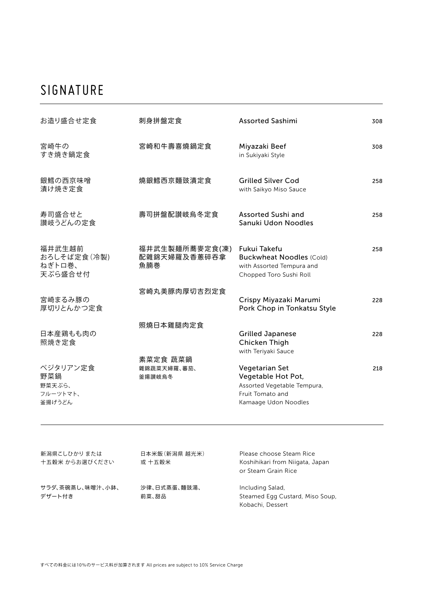### SIGNATURE

| お造り盛合せ定食                                        | 刺身拼盤定食                                | <b>Assorted Sashimi</b>                                                                                         | 308 |
|-------------------------------------------------|---------------------------------------|-----------------------------------------------------------------------------------------------------------------|-----|
| 宮崎牛の<br>すき焼き鍋定食                                 | 宮崎和牛壽喜燒鍋定食                            | Miyazaki Beef<br>in Sukiyaki Style                                                                              | 308 |
| 銀鱈の西京味噌<br>漬け焼き定食                               | 燒銀鱈西京麵豉漬定食                            | <b>Grilled Silver Cod</b><br>with Saikyo Miso Sauce                                                             | 258 |
| 寿司盛合せと<br>讃岐うどんの定食                              | 壽司拼盤配讃岐烏冬定食                           | Assorted Sushi and<br>Sanuki Udon Noodles                                                                       | 258 |
| 福井武生越前<br>おろしそば定食(冷製)<br>ねぎトロ巻、<br>天ぷら盛合せ付      | 福井武生製麺所蕎麥定食(凍)<br>配雜錦天婦羅及香蔥碎吞拿<br>魚腩巻 | Fukui Takefu<br><b>Buckwheat Noodles (Cold)</b><br>with Assorted Tempura and<br>Chopped Toro Sushi Roll         | 258 |
| 宮崎まるみ豚の<br>厚切りとんかつ定食                            | 宮崎丸美豚肉厚切吉烈定食                          | Crispy Miyazaki Marumi<br>Pork Chop in Tonkatsu Style                                                           | 228 |
| 日本産鶏もも肉の<br>照焼き定食                               | 照燒日本雞腿肉定食                             | <b>Grilled Japanese</b><br>Chicken Thigh<br>with Teriyaki Sauce                                                 | 228 |
| ベジタリアン定食<br>野菜鍋<br>野菜天ぷら、<br>フルーツトマト、<br>釜揚げうどん | 素菜定食 蔬菜鍋<br>雜錦蔬菜天婦羅、蕃茄、<br>釜揚讃岐烏冬     | Vegetarian Set<br>Vegetable Hot Pot,<br>Assorted Vegetable Tempura,<br>Fruit Tomato and<br>Kamaage Udon Noodles | 218 |
|                                                 |                                       |                                                                                                                 |     |

| 新潟県こしひかり または<br>十五穀米 からお選びください | 日本米飯 (新潟県 越光米)<br>或 十五穀米 | Please choose Steam Rice<br>Koshihikari from Niigata, Japan<br>or Steam Grain Rice |
|--------------------------------|--------------------------|------------------------------------------------------------------------------------|
| サラダ、茶碗蒸し、味噌汁、小鉢、<br>デザート付き     | 沙律、日式蒸蛋、麵豉湯、<br>前菜、甜品    | Including Salad,<br>Steamed Egg Custard, Miso Soup,<br>Kobachi, Dessert            |